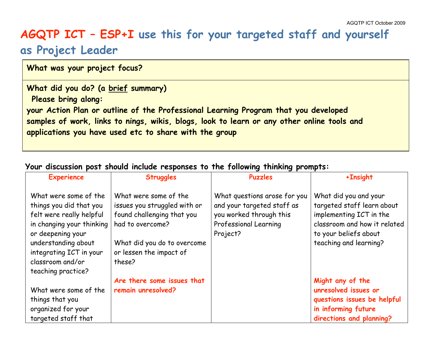## **AGQTP ICT – ESP+I use this for your targeted staff and yourself as Project Leader**

**What was your project focus?**

**What did you do? (a brief summary) Please bring along: your Action Plan or outline of the Professional Learning Program that you developed samples of work, links to nings, wikis, blogs, look to learn or any other online tools and applications you have used etc to share with the group**

## **Your discussion post should include responses to the following thinking prompts:**

| <b>Experience</b>                                                                                                                                                                                                          | <b>Struggles</b>                                                                                                                                                            | - -<br><b>Puzzles</b>                                                                                                      | +Insight                                                                                                                                                          |
|----------------------------------------------------------------------------------------------------------------------------------------------------------------------------------------------------------------------------|-----------------------------------------------------------------------------------------------------------------------------------------------------------------------------|----------------------------------------------------------------------------------------------------------------------------|-------------------------------------------------------------------------------------------------------------------------------------------------------------------|
| What were some of the<br>things you did that you<br>felt were really helpful<br>in changing your thinking<br>or deepening your<br>understanding about<br>integrating ICT in your<br>classroom and/or<br>teaching practice? | What were some of the<br>issues you struggled with or<br>found challenging that you<br>had to overcome?<br>What did you do to overcome<br>or lessen the impact of<br>these? | What questions arose for you<br>and your targeted staff as<br>you worked through this<br>Professional Learning<br>Project? | What did you and your<br>targeted staff learn about<br>implementing ICT in the<br>classroom and how it related<br>to your beliefs about<br>teaching and learning? |
| What were some of the<br>things that you<br>organized for your<br>targeted staff that                                                                                                                                      | Are there some issues that<br>remain unresolved?                                                                                                                            |                                                                                                                            | Might any of the<br>unresolved issues or<br>questions issues be helpful<br>in informing future<br>directions and planning?                                        |